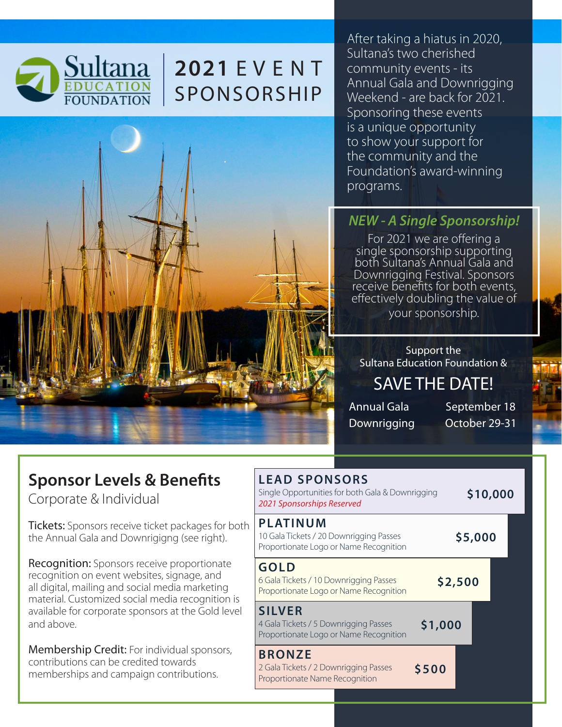

# **2021** E V E N T SPONSORSHIP



After taking a hiatus in 2020, Sultana's two cherished community events - its Annual Gala and Downrigging Weekend - are back for 2021. Sponsoring these events is a unique opportunity to show your support for the community and the Foundation's award-winning programs.

## *NEW - A Single Sponsorship!*

For 2021 we are offering a single sponsorship supporting both Sultana's Annual Gala and Downrigging Festival. Sponsors receive benefits for both events, effectively doubling the value of your sponsorship.

Support the Sultana Education Foundation & SAVE THE DATE!

Annual Gala September 18 Downrigging October 29-31

## **Sponsor Levels & Benefits**

Corporate & Individual

**Tickets:** Sponsors receive ticket packages for both the Annual Gala and Downrigigng (see right).

**Recognition:** Sponsors receive proportionate recognition on event websites, signage, and all digital, mailing and social media marketing material. Customized social media recognition is available for corporate sponsors at the Gold level and above.

Membership Credit: For individual sponsors, contributions can be credited towards memberships and campaign contributions.

# **LEAD SPONSORS**

| Single Opportunities for both Gala & Downrigging<br>2021 Sponsorships Reserved                       |         |  | \$10,000 |  |
|------------------------------------------------------------------------------------------------------|---------|--|----------|--|
| <b>PLATINUM</b><br>10 Gala Tickets / 20 Downrigging Passes<br>Proportionate Logo or Name Recognition | \$5,000 |  |          |  |
| <b>GOLD</b><br>6 Gala Tickets / 10 Downrigging Passes<br>Proportionate Logo or Name Recognition      | \$2,500 |  |          |  |
| <b>SILVER</b><br>4 Gala Tickets / 5 Downrigging Passes<br>Proportionate Logo or Name Recognition     | \$1,000 |  |          |  |
| <b>BRONZE</b><br>2 Gala Tickets / 2 Downrigging Passes<br>Proportionate Name Recognition             | \$500   |  |          |  |